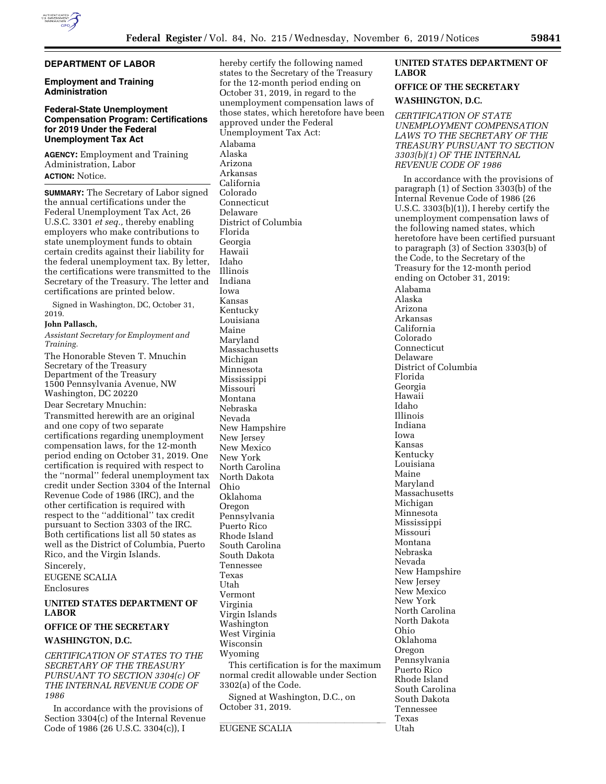# **DEPARTMENT OF LABOR**

#### **Employment and Training Administration**

### **Federal-State Unemployment Compensation Program: Certifications for 2019 Under the Federal Unemployment Tax Act**

**AGENCY:** Employment and Training Administration, Labor **ACTION:** Notice.

**SUMMARY:** The Secretary of Labor signed the annual certifications under the Federal Unemployment Tax Act, 26 U.S.C. 3301 *et seq.,* thereby enabling employers who make contributions to state unemployment funds to obtain certain credits against their liability for the federal unemployment tax. By letter, the certifications were transmitted to the Secretary of the Treasury. The letter and certifications are printed below.

Signed in Washington, DC, October 31, 2019.

#### **John Pallasch,**

*Assistant Secretary for Employment and Training.* 

The Honorable Steven T. Mnuchin Secretary of the Treasury Department of the Treasury 1500 Pennsylvania Avenue, NW Washington, DC 20220 Dear Secretary Mnuchin: Transmitted herewith are an original and one copy of two separate certifications regarding unemployment compensation laws, for the 12-month period ending on October 31, 2019. One certification is required with respect to the ''normal'' federal unemployment tax credit under Section 3304 of the Internal Revenue Code of 1986 (IRC), and the other certification is required with respect to the ''additional'' tax credit pursuant to Section 3303 of the IRC. Both certifications list all 50 states as well as the District of Columbia, Puerto Rico, and the Virgin Islands.

## Sincerely, EUGENE SCALIA

Enclosures

#### **UNITED STATES DEPARTMENT OF LABOR**

# **OFFICE OF THE SECRETARY**

# **WASHINGTON, D.C.**

*CERTIFICATION OF STATES TO THE SECRETARY OF THE TREASURY PURSUANT TO SECTION 3304(c) OF THE INTERNAL REVENUE CODE OF 1986* 

In accordance with the provisions of Section 3304(c) of the Internal Revenue Code of 1986 (26 U.S.C. 3304(c)), I

hereby certify the following named states to the Secretary of the Treasury for the 12-month period ending on October 31, 2019, in regard to the unemployment compensation laws of those states, which heretofore have been approved under the Federal Unemployment Tax Act: Alabama Alaska Arizona Arkansas California Colorado Connecticut Delaware District of Columbia Florida Georgia Hawaii Idaho Illinois Indiana Iowa Kansas Kentucky Louisiana Maine Maryland Massachusetts Michigan Minnesota Mississippi Missouri Montana Nebraska Nevada New Hampshire New Jersey New Mexico New York North Carolina North Dakota Ohio Oklahoma Oregon Pennsylvania Puerto Rico Rhode Island South Carolina South Dakota Tennessee Texas Utah Vermont Virginia Virgin Islands Washington West Virginia Wisconsin Wyoming This certification is for the maximum normal credit allowable under Section 3302(a) of the Code. Signed at Washington, D.C., on October 31, 2019.

**EUGENE SCALIA** 

# **UNITED STATES DEPARTMENT OF LABOR**

### **OFFICE OF THE SECRETARY**

#### **WASHINGTON, D.C.**

*CERTIFICATION OF STATE UNEMPLOYMENT COMPENSATION LAWS TO THE SECRETARY OF THE TREASURY PURSUANT TO SECTION 3303(b)(1) OF THE INTERNAL REVENUE CODE OF 1986* 

In accordance with the provisions of paragraph (1) of Section 3303(b) of the Internal Revenue Code of 1986 (26 U.S.C. 3303(b)(1)), I hereby certify the unemployment compensation laws of the following named states, which heretofore have been certified pursuant to paragraph (3) of Section 3303(b) of the Code, to the Secretary of the Treasury for the 12-month period ending on October 31, 2019: Alabama Alaska Arizona Arkansas California Colorado Connecticut Delaware District of Columbia Florida Georgia Hawaii Idaho Illinois Indiana Iowa Kansas Kentucky Louisiana Maine Maryland Massachusetts Michigan Minnesota Mississippi Missouri Montana Nebraska Nevada New Hampshire New Jersey New Mexico New York North Carolina North Dakota Ohio Oklahoma Oregon Pennsylvania Puerto Rico Rhode Island South Carolina South Dakota Tennessee

Texas Utah